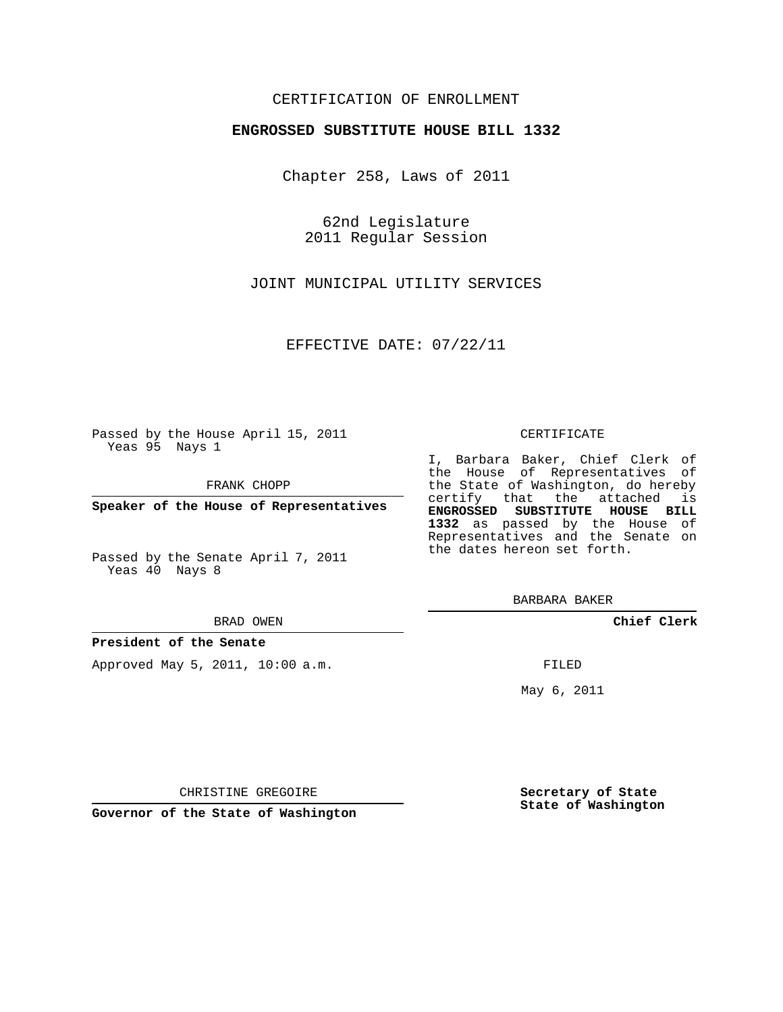# CERTIFICATION OF ENROLLMENT

## **ENGROSSED SUBSTITUTE HOUSE BILL 1332**

Chapter 258, Laws of 2011

62nd Legislature 2011 Regular Session

JOINT MUNICIPAL UTILITY SERVICES

EFFECTIVE DATE: 07/22/11

Passed by the House April 15, 2011 Yeas 95 Nays 1

FRANK CHOPP

**Speaker of the House of Representatives**

Passed by the Senate April 7, 2011 Yeas 40 Nays 8

#### BRAD OWEN

### **President of the Senate**

Approved May 5, 2011, 10:00 a.m.

#### CERTIFICATE

I, Barbara Baker, Chief Clerk of the House of Representatives of the State of Washington, do hereby certify that the attached is **ENGROSSED SUBSTITUTE HOUSE BILL 1332** as passed by the House of Representatives and the Senate on the dates hereon set forth.

BARBARA BAKER

**Chief Clerk**

FILED

May 6, 2011

**Secretary of State State of Washington**

CHRISTINE GREGOIRE

**Governor of the State of Washington**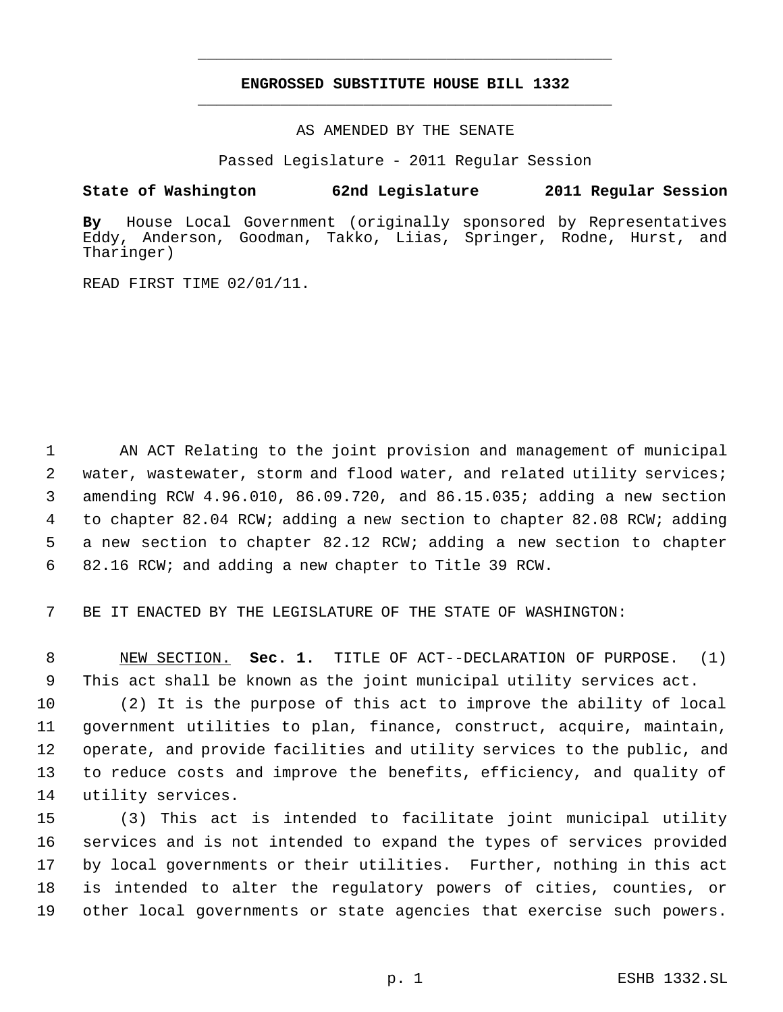# **ENGROSSED SUBSTITUTE HOUSE BILL 1332** \_\_\_\_\_\_\_\_\_\_\_\_\_\_\_\_\_\_\_\_\_\_\_\_\_\_\_\_\_\_\_\_\_\_\_\_\_\_\_\_\_\_\_\_\_

\_\_\_\_\_\_\_\_\_\_\_\_\_\_\_\_\_\_\_\_\_\_\_\_\_\_\_\_\_\_\_\_\_\_\_\_\_\_\_\_\_\_\_\_\_

AS AMENDED BY THE SENATE

Passed Legislature - 2011 Regular Session

## **State of Washington 62nd Legislature 2011 Regular Session**

**By** House Local Government (originally sponsored by Representatives Eddy, Anderson, Goodman, Takko, Liias, Springer, Rodne, Hurst, and Tharinger)

READ FIRST TIME 02/01/11.

 AN ACT Relating to the joint provision and management of municipal 2 water, wastewater, storm and flood water, and related utility services; amending RCW 4.96.010, 86.09.720, and 86.15.035; adding a new section to chapter 82.04 RCW; adding a new section to chapter 82.08 RCW; adding a new section to chapter 82.12 RCW; adding a new section to chapter 82.16 RCW; and adding a new chapter to Title 39 RCW.

7 BE IT ENACTED BY THE LEGISLATURE OF THE STATE OF WASHINGTON:

 8 NEW SECTION. **Sec. 1.** TITLE OF ACT--DECLARATION OF PURPOSE. (1) 9 This act shall be known as the joint municipal utility services act.

 (2) It is the purpose of this act to improve the ability of local government utilities to plan, finance, construct, acquire, maintain, operate, and provide facilities and utility services to the public, and to reduce costs and improve the benefits, efficiency, and quality of utility services.

 (3) This act is intended to facilitate joint municipal utility services and is not intended to expand the types of services provided by local governments or their utilities. Further, nothing in this act is intended to alter the regulatory powers of cities, counties, or other local governments or state agencies that exercise such powers.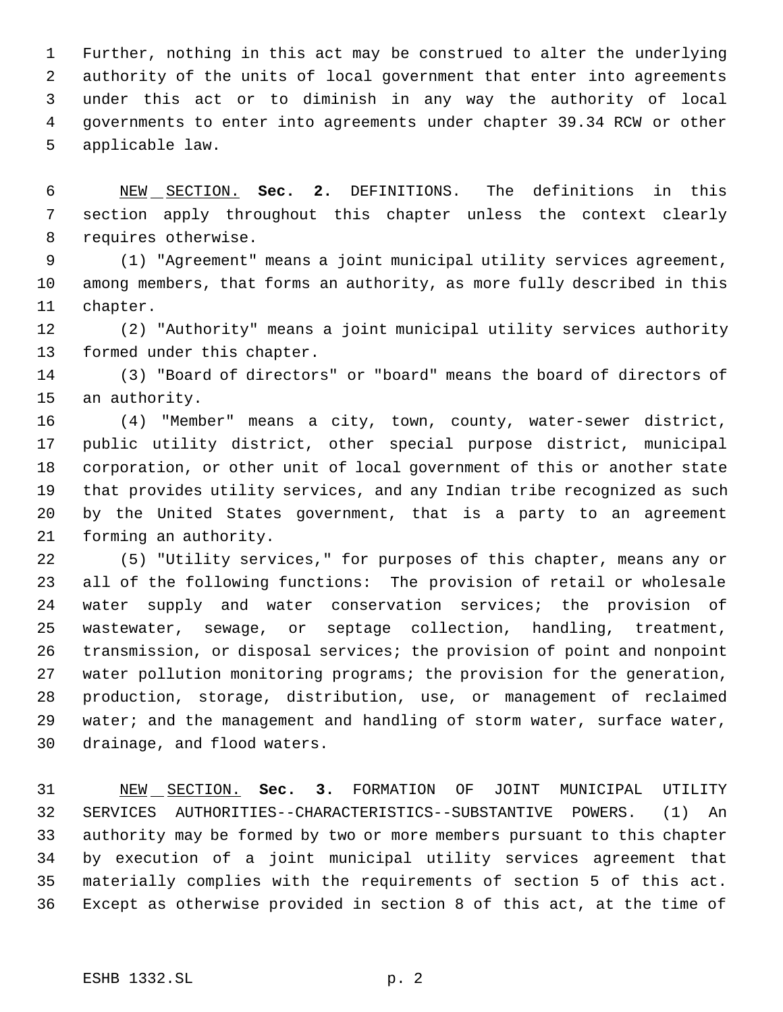Further, nothing in this act may be construed to alter the underlying authority of the units of local government that enter into agreements under this act or to diminish in any way the authority of local governments to enter into agreements under chapter 39.34 RCW or other applicable law.

 NEW SECTION. **Sec. 2.** DEFINITIONS. The definitions in this section apply throughout this chapter unless the context clearly requires otherwise.

 (1) "Agreement" means a joint municipal utility services agreement, among members, that forms an authority, as more fully described in this chapter.

 (2) "Authority" means a joint municipal utility services authority formed under this chapter.

 (3) "Board of directors" or "board" means the board of directors of an authority.

 (4) "Member" means a city, town, county, water-sewer district, public utility district, other special purpose district, municipal corporation, or other unit of local government of this or another state that provides utility services, and any Indian tribe recognized as such by the United States government, that is a party to an agreement forming an authority.

 (5) "Utility services," for purposes of this chapter, means any or all of the following functions: The provision of retail or wholesale water supply and water conservation services; the provision of wastewater, sewage, or septage collection, handling, treatment, transmission, or disposal services; the provision of point and nonpoint water pollution monitoring programs; the provision for the generation, production, storage, distribution, use, or management of reclaimed water; and the management and handling of storm water, surface water, drainage, and flood waters.

 NEW SECTION. **Sec. 3.** FORMATION OF JOINT MUNICIPAL UTILITY SERVICES AUTHORITIES--CHARACTERISTICS--SUBSTANTIVE POWERS. (1) An authority may be formed by two or more members pursuant to this chapter by execution of a joint municipal utility services agreement that materially complies with the requirements of section 5 of this act. Except as otherwise provided in section 8 of this act, at the time of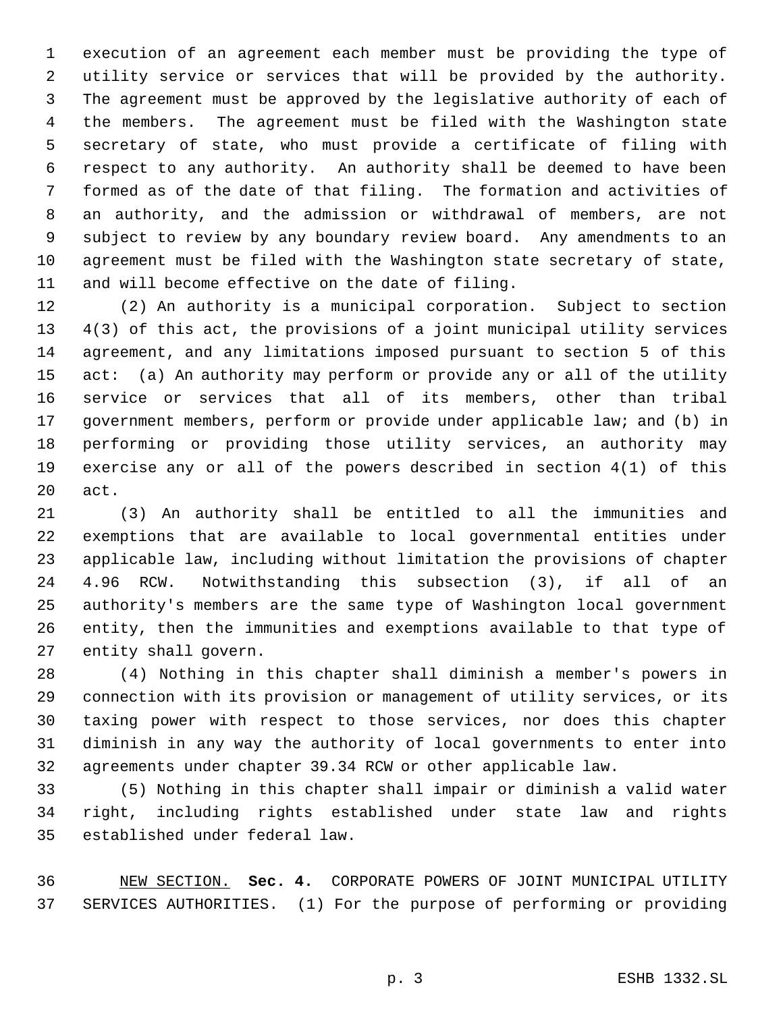execution of an agreement each member must be providing the type of utility service or services that will be provided by the authority. The agreement must be approved by the legislative authority of each of the members. The agreement must be filed with the Washington state secretary of state, who must provide a certificate of filing with respect to any authority. An authority shall be deemed to have been formed as of the date of that filing. The formation and activities of an authority, and the admission or withdrawal of members, are not subject to review by any boundary review board. Any amendments to an agreement must be filed with the Washington state secretary of state, and will become effective on the date of filing.

 (2) An authority is a municipal corporation. Subject to section 4(3) of this act, the provisions of a joint municipal utility services agreement, and any limitations imposed pursuant to section 5 of this act: (a) An authority may perform or provide any or all of the utility service or services that all of its members, other than tribal government members, perform or provide under applicable law; and (b) in performing or providing those utility services, an authority may exercise any or all of the powers described in section 4(1) of this act.

 (3) An authority shall be entitled to all the immunities and exemptions that are available to local governmental entities under applicable law, including without limitation the provisions of chapter 4.96 RCW. Notwithstanding this subsection (3), if all of an authority's members are the same type of Washington local government entity, then the immunities and exemptions available to that type of entity shall govern.

 (4) Nothing in this chapter shall diminish a member's powers in connection with its provision or management of utility services, or its taxing power with respect to those services, nor does this chapter diminish in any way the authority of local governments to enter into agreements under chapter 39.34 RCW or other applicable law.

 (5) Nothing in this chapter shall impair or diminish a valid water right, including rights established under state law and rights established under federal law.

 NEW SECTION. **Sec. 4.** CORPORATE POWERS OF JOINT MUNICIPAL UTILITY SERVICES AUTHORITIES. (1) For the purpose of performing or providing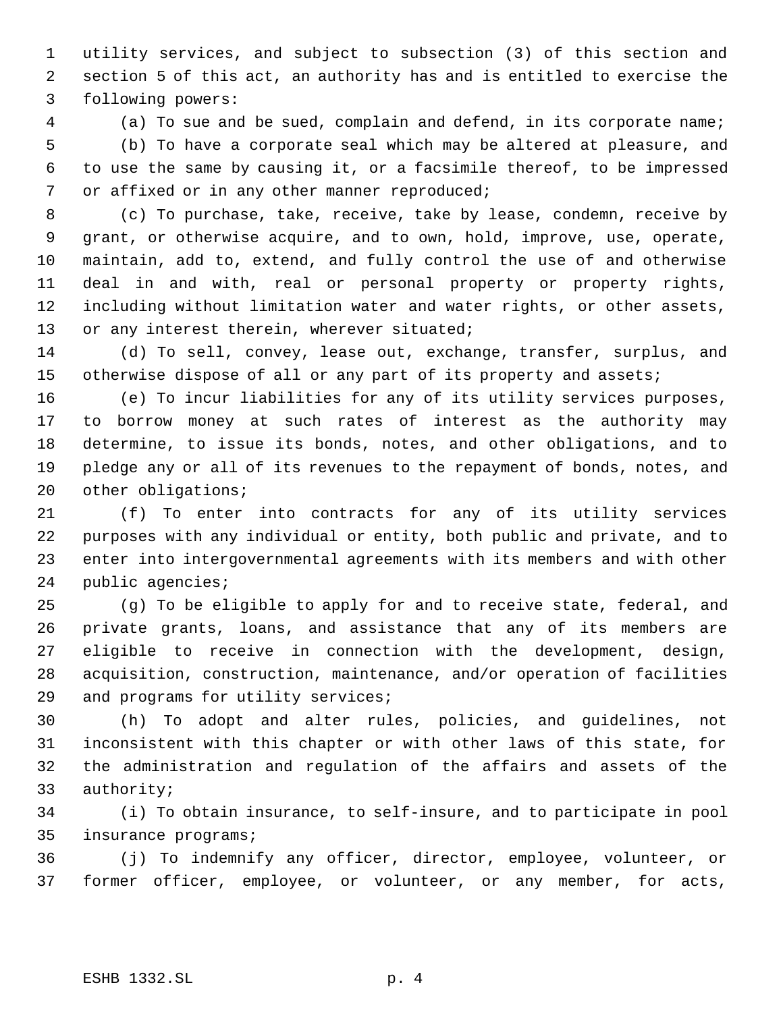utility services, and subject to subsection (3) of this section and section 5 of this act, an authority has and is entitled to exercise the following powers:

 (a) To sue and be sued, complain and defend, in its corporate name; (b) To have a corporate seal which may be altered at pleasure, and to use the same by causing it, or a facsimile thereof, to be impressed 7 or affixed or in any other manner reproduced;

 (c) To purchase, take, receive, take by lease, condemn, receive by grant, or otherwise acquire, and to own, hold, improve, use, operate, maintain, add to, extend, and fully control the use of and otherwise deal in and with, real or personal property or property rights, including without limitation water and water rights, or other assets, 13 or any interest therein, wherever situated;

 (d) To sell, convey, lease out, exchange, transfer, surplus, and 15 otherwise dispose of all or any part of its property and assets;

 (e) To incur liabilities for any of its utility services purposes, to borrow money at such rates of interest as the authority may determine, to issue its bonds, notes, and other obligations, and to pledge any or all of its revenues to the repayment of bonds, notes, and 20 other obligations;

 (f) To enter into contracts for any of its utility services purposes with any individual or entity, both public and private, and to enter into intergovernmental agreements with its members and with other public agencies;

 (g) To be eligible to apply for and to receive state, federal, and private grants, loans, and assistance that any of its members are eligible to receive in connection with the development, design, acquisition, construction, maintenance, and/or operation of facilities and programs for utility services;

 (h) To adopt and alter rules, policies, and guidelines, not inconsistent with this chapter or with other laws of this state, for the administration and regulation of the affairs and assets of the authority;

 (i) To obtain insurance, to self-insure, and to participate in pool insurance programs;

 (j) To indemnify any officer, director, employee, volunteer, or former officer, employee, or volunteer, or any member, for acts,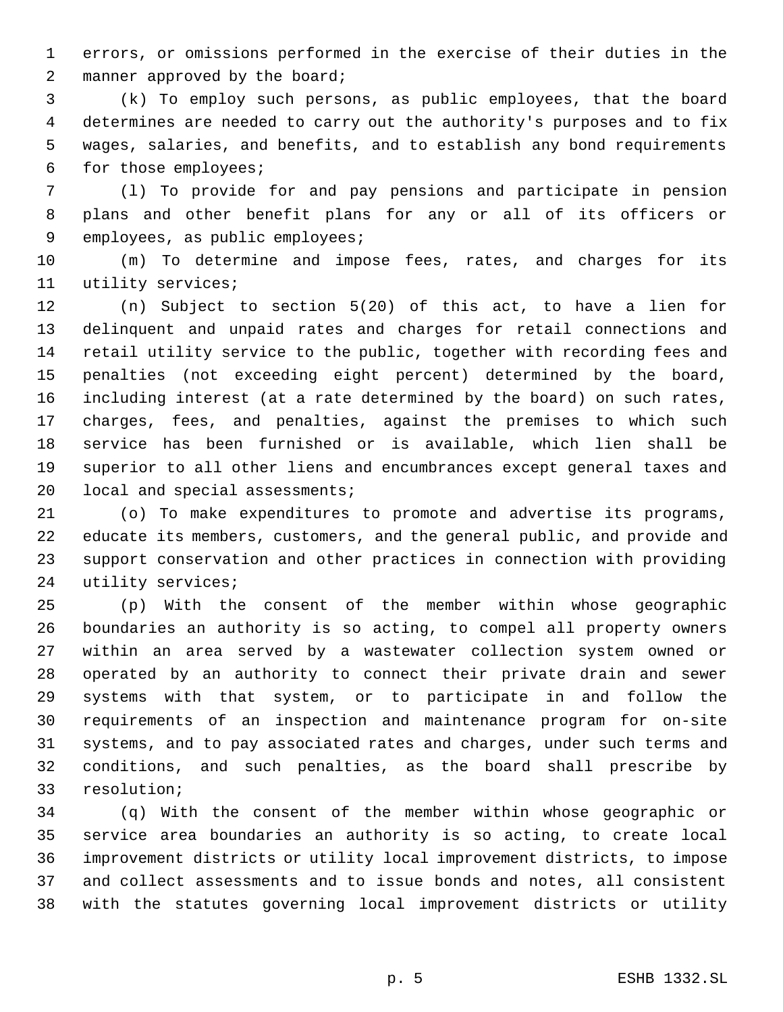errors, or omissions performed in the exercise of their duties in the 2 manner approved by the board;

 (k) To employ such persons, as public employees, that the board determines are needed to carry out the authority's purposes and to fix wages, salaries, and benefits, and to establish any bond requirements for those employees;

 (l) To provide for and pay pensions and participate in pension plans and other benefit plans for any or all of its officers or employees, as public employees;

 (m) To determine and impose fees, rates, and charges for its utility services;

 (n) Subject to section 5(20) of this act, to have a lien for delinquent and unpaid rates and charges for retail connections and retail utility service to the public, together with recording fees and penalties (not exceeding eight percent) determined by the board, including interest (at a rate determined by the board) on such rates, charges, fees, and penalties, against the premises to which such service has been furnished or is available, which lien shall be superior to all other liens and encumbrances except general taxes and 20 local and special assessments;

 (o) To make expenditures to promote and advertise its programs, educate its members, customers, and the general public, and provide and support conservation and other practices in connection with providing 24 utility services;

 (p) With the consent of the member within whose geographic boundaries an authority is so acting, to compel all property owners within an area served by a wastewater collection system owned or operated by an authority to connect their private drain and sewer systems with that system, or to participate in and follow the requirements of an inspection and maintenance program for on-site systems, and to pay associated rates and charges, under such terms and conditions, and such penalties, as the board shall prescribe by resolution;

 (q) With the consent of the member within whose geographic or service area boundaries an authority is so acting, to create local improvement districts or utility local improvement districts, to impose and collect assessments and to issue bonds and notes, all consistent with the statutes governing local improvement districts or utility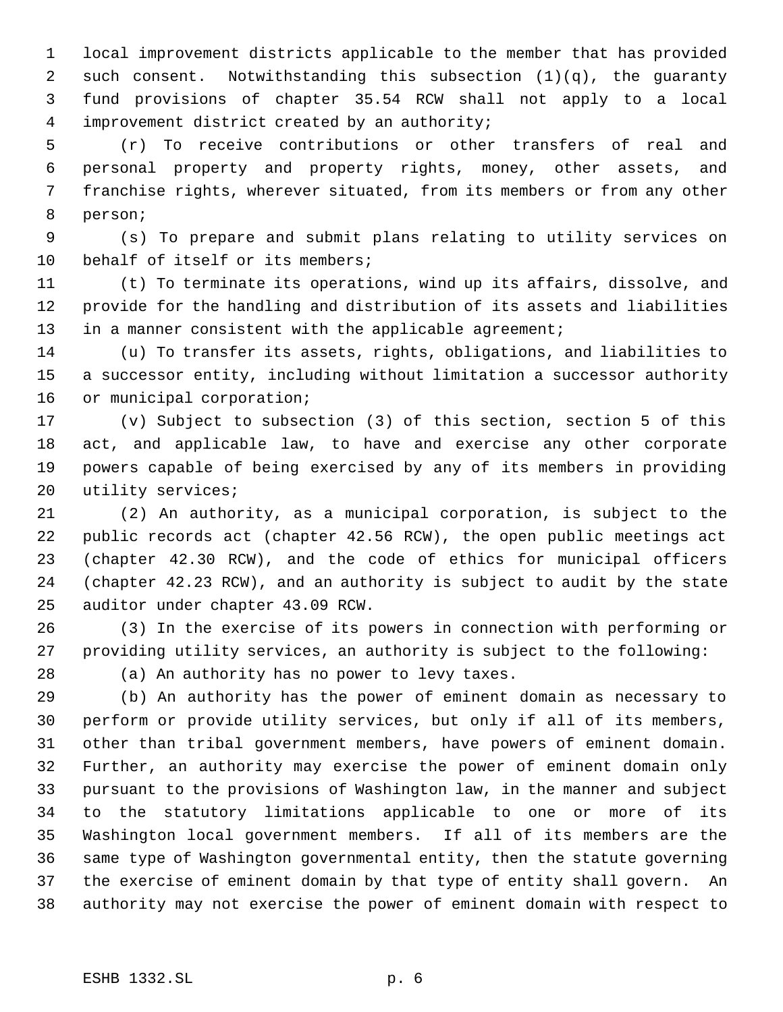local improvement districts applicable to the member that has provided such consent. Notwithstanding this subsection (1)(q), the guaranty fund provisions of chapter 35.54 RCW shall not apply to a local improvement district created by an authority;

 (r) To receive contributions or other transfers of real and personal property and property rights, money, other assets, and franchise rights, wherever situated, from its members or from any other person;

 (s) To prepare and submit plans relating to utility services on 10 behalf of itself or its members;

 (t) To terminate its operations, wind up its affairs, dissolve, and provide for the handling and distribution of its assets and liabilities 13 in a manner consistent with the applicable agreement;

 (u) To transfer its assets, rights, obligations, and liabilities to a successor entity, including without limitation a successor authority or municipal corporation;

 (v) Subject to subsection (3) of this section, section 5 of this act, and applicable law, to have and exercise any other corporate powers capable of being exercised by any of its members in providing utility services;

 (2) An authority, as a municipal corporation, is subject to the public records act (chapter 42.56 RCW), the open public meetings act (chapter 42.30 RCW), and the code of ethics for municipal officers (chapter 42.23 RCW), and an authority is subject to audit by the state auditor under chapter 43.09 RCW.

 (3) In the exercise of its powers in connection with performing or providing utility services, an authority is subject to the following:

(a) An authority has no power to levy taxes.

 (b) An authority has the power of eminent domain as necessary to perform or provide utility services, but only if all of its members, other than tribal government members, have powers of eminent domain. Further, an authority may exercise the power of eminent domain only pursuant to the provisions of Washington law, in the manner and subject to the statutory limitations applicable to one or more of its Washington local government members. If all of its members are the same type of Washington governmental entity, then the statute governing the exercise of eminent domain by that type of entity shall govern. An authority may not exercise the power of eminent domain with respect to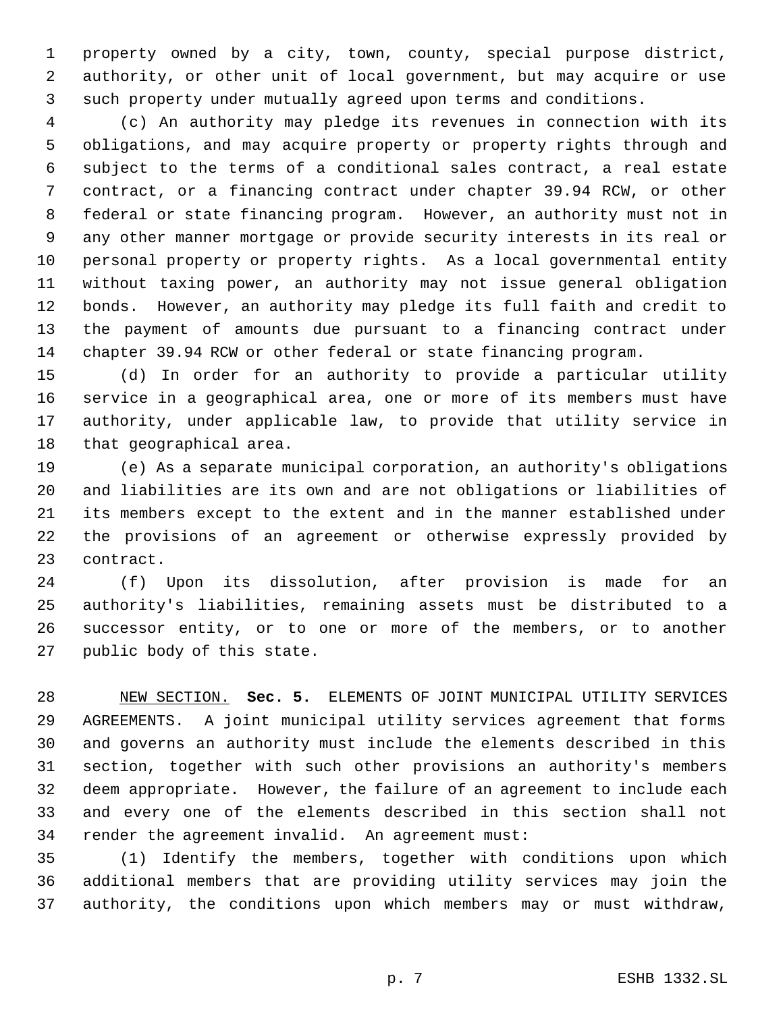property owned by a city, town, county, special purpose district, authority, or other unit of local government, but may acquire or use such property under mutually agreed upon terms and conditions.

 (c) An authority may pledge its revenues in connection with its obligations, and may acquire property or property rights through and subject to the terms of a conditional sales contract, a real estate contract, or a financing contract under chapter 39.94 RCW, or other federal or state financing program. However, an authority must not in any other manner mortgage or provide security interests in its real or personal property or property rights. As a local governmental entity without taxing power, an authority may not issue general obligation bonds. However, an authority may pledge its full faith and credit to the payment of amounts due pursuant to a financing contract under chapter 39.94 RCW or other federal or state financing program.

 (d) In order for an authority to provide a particular utility service in a geographical area, one or more of its members must have authority, under applicable law, to provide that utility service in that geographical area.

 (e) As a separate municipal corporation, an authority's obligations and liabilities are its own and are not obligations or liabilities of its members except to the extent and in the manner established under the provisions of an agreement or otherwise expressly provided by contract.

 (f) Upon its dissolution, after provision is made for an authority's liabilities, remaining assets must be distributed to a successor entity, or to one or more of the members, or to another public body of this state.

 NEW SECTION. **Sec. 5.** ELEMENTS OF JOINT MUNICIPAL UTILITY SERVICES AGREEMENTS. A joint municipal utility services agreement that forms and governs an authority must include the elements described in this section, together with such other provisions an authority's members deem appropriate. However, the failure of an agreement to include each and every one of the elements described in this section shall not render the agreement invalid. An agreement must:

 (1) Identify the members, together with conditions upon which additional members that are providing utility services may join the authority, the conditions upon which members may or must withdraw,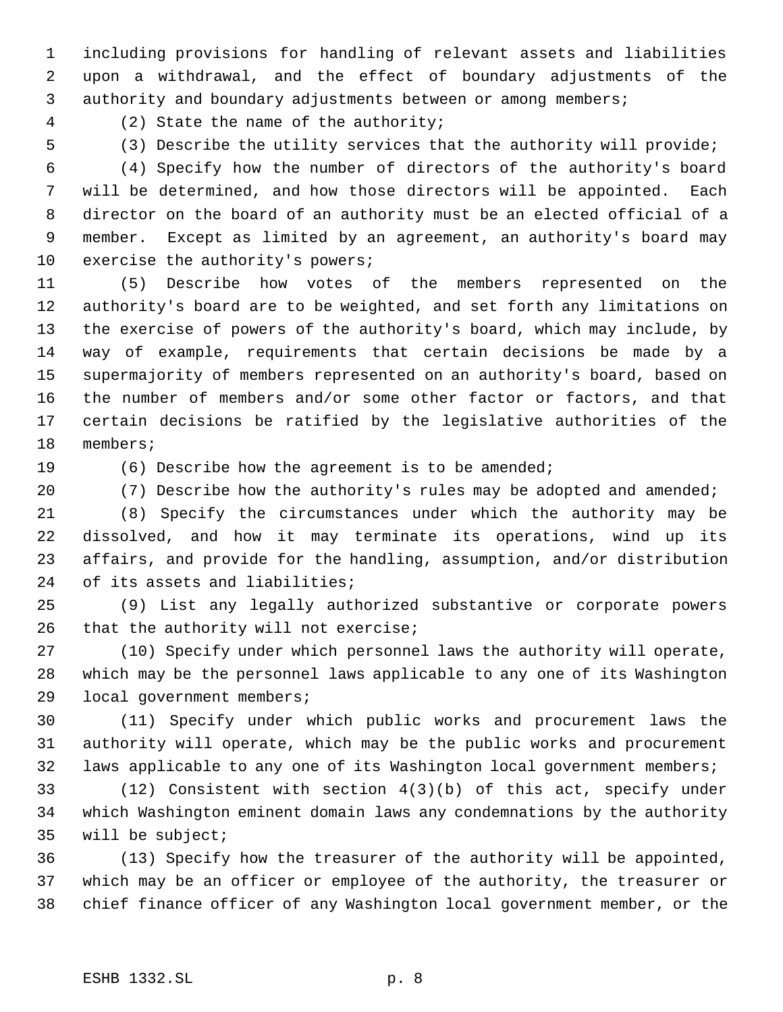including provisions for handling of relevant assets and liabilities upon a withdrawal, and the effect of boundary adjustments of the authority and boundary adjustments between or among members;

(2) State the name of the authority;

(3) Describe the utility services that the authority will provide;

 (4) Specify how the number of directors of the authority's board will be determined, and how those directors will be appointed. Each director on the board of an authority must be an elected official of a member. Except as limited by an agreement, an authority's board may 10 exercise the authority's powers;

 (5) Describe how votes of the members represented on the authority's board are to be weighted, and set forth any limitations on the exercise of powers of the authority's board, which may include, by way of example, requirements that certain decisions be made by a supermajority of members represented on an authority's board, based on the number of members and/or some other factor or factors, and that certain decisions be ratified by the legislative authorities of the members;

(6) Describe how the agreement is to be amended;

20 (7) Describe how the authority's rules may be adopted and amended;

 (8) Specify the circumstances under which the authority may be dissolved, and how it may terminate its operations, wind up its affairs, and provide for the handling, assumption, and/or distribution of its assets and liabilities;

 (9) List any legally authorized substantive or corporate powers 26 that the authority will not exercise;

 (10) Specify under which personnel laws the authority will operate, which may be the personnel laws applicable to any one of its Washington local government members;

 (11) Specify under which public works and procurement laws the authority will operate, which may be the public works and procurement laws applicable to any one of its Washington local government members;

 (12) Consistent with section 4(3)(b) of this act, specify under which Washington eminent domain laws any condemnations by the authority will be subject;

 (13) Specify how the treasurer of the authority will be appointed, which may be an officer or employee of the authority, the treasurer or chief finance officer of any Washington local government member, or the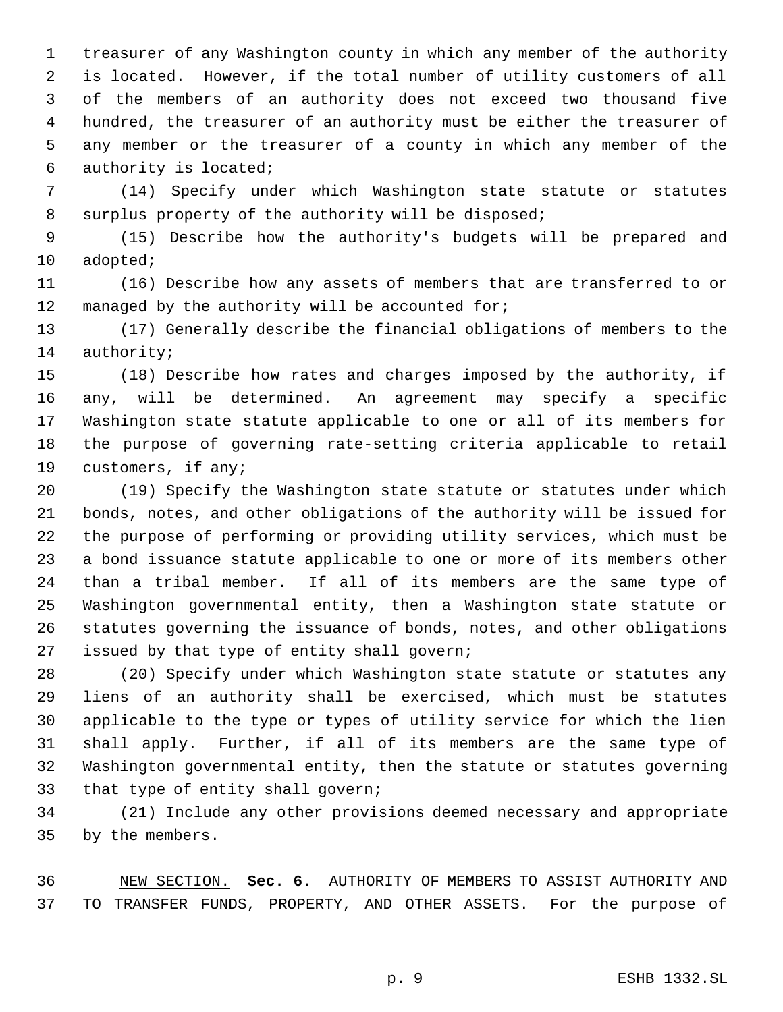treasurer of any Washington county in which any member of the authority is located. However, if the total number of utility customers of all of the members of an authority does not exceed two thousand five hundred, the treasurer of an authority must be either the treasurer of any member or the treasurer of a county in which any member of the authority is located;

 (14) Specify under which Washington state statute or statutes surplus property of the authority will be disposed;

 (15) Describe how the authority's budgets will be prepared and adopted;

 (16) Describe how any assets of members that are transferred to or 12 managed by the authority will be accounted for;

 (17) Generally describe the financial obligations of members to the authority;

 (18) Describe how rates and charges imposed by the authority, if any, will be determined. An agreement may specify a specific Washington state statute applicable to one or all of its members for the purpose of governing rate-setting criteria applicable to retail customers, if any;

 (19) Specify the Washington state statute or statutes under which bonds, notes, and other obligations of the authority will be issued for the purpose of performing or providing utility services, which must be a bond issuance statute applicable to one or more of its members other than a tribal member. If all of its members are the same type of Washington governmental entity, then a Washington state statute or statutes governing the issuance of bonds, notes, and other obligations issued by that type of entity shall govern;

 (20) Specify under which Washington state statute or statutes any liens of an authority shall be exercised, which must be statutes applicable to the type or types of utility service for which the lien shall apply. Further, if all of its members are the same type of Washington governmental entity, then the statute or statutes governing that type of entity shall govern;

 (21) Include any other provisions deemed necessary and appropriate by the members.

 NEW SECTION. **Sec. 6.** AUTHORITY OF MEMBERS TO ASSIST AUTHORITY AND TO TRANSFER FUNDS, PROPERTY, AND OTHER ASSETS. For the purpose of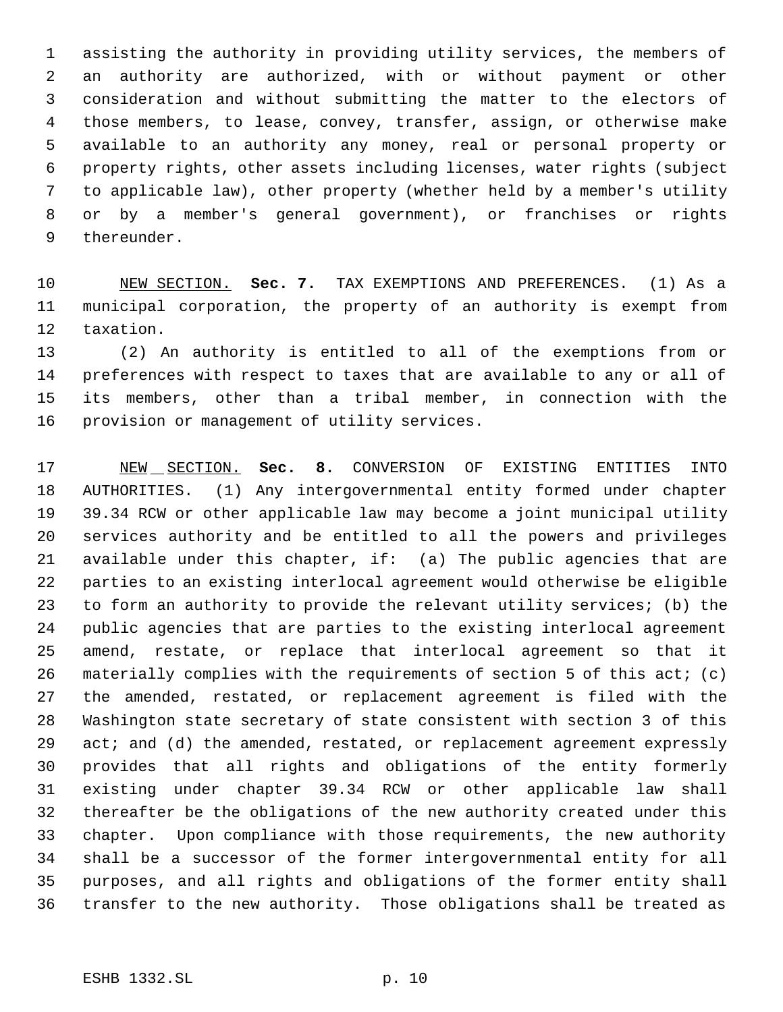assisting the authority in providing utility services, the members of an authority are authorized, with or without payment or other consideration and without submitting the matter to the electors of those members, to lease, convey, transfer, assign, or otherwise make available to an authority any money, real or personal property or property rights, other assets including licenses, water rights (subject to applicable law), other property (whether held by a member's utility or by a member's general government), or franchises or rights thereunder.

 NEW SECTION. **Sec. 7.** TAX EXEMPTIONS AND PREFERENCES. (1) As a municipal corporation, the property of an authority is exempt from taxation.

 (2) An authority is entitled to all of the exemptions from or preferences with respect to taxes that are available to any or all of its members, other than a tribal member, in connection with the provision or management of utility services.

 NEW SECTION. **Sec. 8.** CONVERSION OF EXISTING ENTITIES INTO AUTHORITIES. (1) Any intergovernmental entity formed under chapter 39.34 RCW or other applicable law may become a joint municipal utility services authority and be entitled to all the powers and privileges available under this chapter, if: (a) The public agencies that are parties to an existing interlocal agreement would otherwise be eligible to form an authority to provide the relevant utility services; (b) the public agencies that are parties to the existing interlocal agreement amend, restate, or replace that interlocal agreement so that it materially complies with the requirements of section 5 of this act; (c) the amended, restated, or replacement agreement is filed with the Washington state secretary of state consistent with section 3 of this 29 act; and (d) the amended, restated, or replacement agreement expressly provides that all rights and obligations of the entity formerly existing under chapter 39.34 RCW or other applicable law shall thereafter be the obligations of the new authority created under this chapter. Upon compliance with those requirements, the new authority shall be a successor of the former intergovernmental entity for all purposes, and all rights and obligations of the former entity shall transfer to the new authority. Those obligations shall be treated as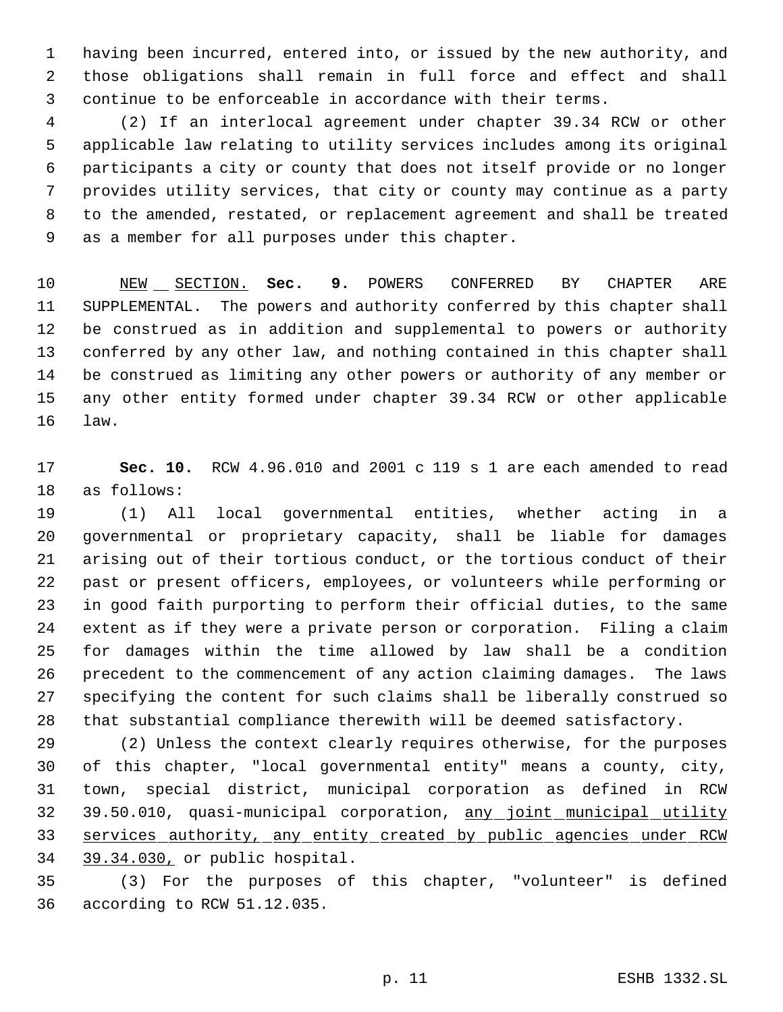having been incurred, entered into, or issued by the new authority, and those obligations shall remain in full force and effect and shall continue to be enforceable in accordance with their terms.

 (2) If an interlocal agreement under chapter 39.34 RCW or other applicable law relating to utility services includes among its original participants a city or county that does not itself provide or no longer provides utility services, that city or county may continue as a party to the amended, restated, or replacement agreement and shall be treated as a member for all purposes under this chapter.

 NEW SECTION. **Sec. 9.** POWERS CONFERRED BY CHAPTER ARE SUPPLEMENTAL. The powers and authority conferred by this chapter shall be construed as in addition and supplemental to powers or authority conferred by any other law, and nothing contained in this chapter shall be construed as limiting any other powers or authority of any member or any other entity formed under chapter 39.34 RCW or other applicable law.

 **Sec. 10.** RCW 4.96.010 and 2001 c 119 s 1 are each amended to read as follows:

 (1) All local governmental entities, whether acting in a governmental or proprietary capacity, shall be liable for damages arising out of their tortious conduct, or the tortious conduct of their past or present officers, employees, or volunteers while performing or in good faith purporting to perform their official duties, to the same extent as if they were a private person or corporation. Filing a claim for damages within the time allowed by law shall be a condition precedent to the commencement of any action claiming damages. The laws specifying the content for such claims shall be liberally construed so that substantial compliance therewith will be deemed satisfactory.

 (2) Unless the context clearly requires otherwise, for the purposes of this chapter, "local governmental entity" means a county, city, town, special district, municipal corporation as defined in RCW 32 39.50.010, quasi-municipal corporation, any joint municipal utility services authority, any entity created by public agencies under RCW 39.34.030, or public hospital.

 (3) For the purposes of this chapter, "volunteer" is defined according to RCW 51.12.035.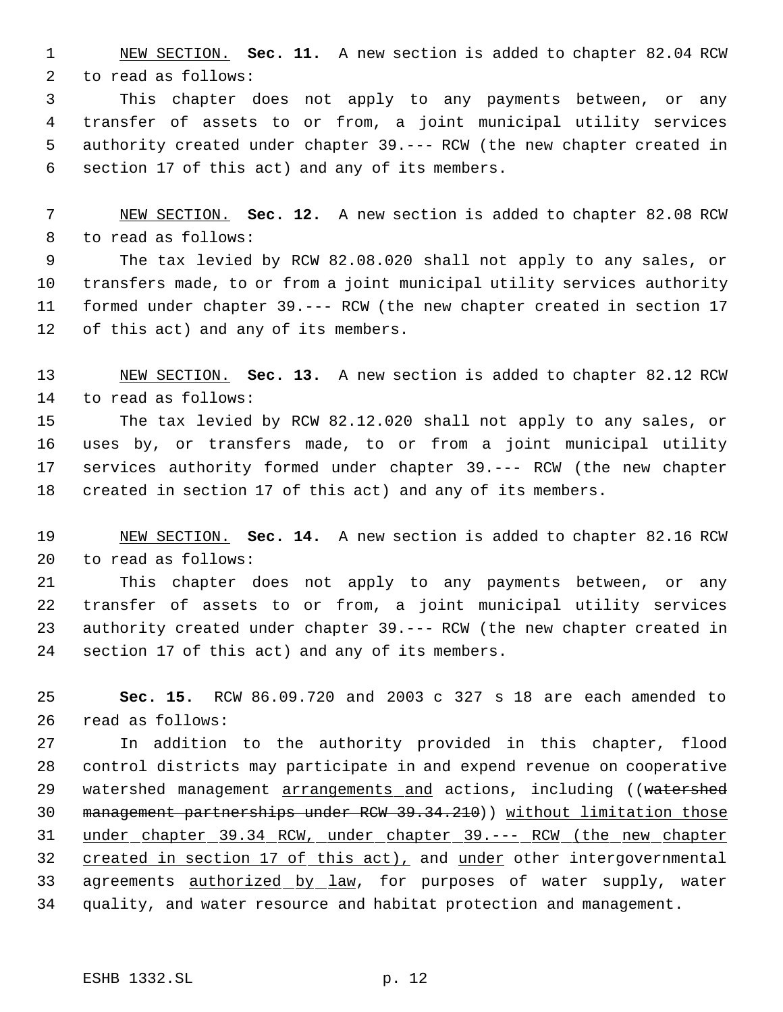NEW SECTION. **Sec. 11.** A new section is added to chapter 82.04 RCW to read as follows:

 This chapter does not apply to any payments between, or any transfer of assets to or from, a joint municipal utility services authority created under chapter 39.--- RCW (the new chapter created in section 17 of this act) and any of its members.

 NEW SECTION. **Sec. 12.** A new section is added to chapter 82.08 RCW to read as follows:

 The tax levied by RCW 82.08.020 shall not apply to any sales, or transfers made, to or from a joint municipal utility services authority formed under chapter 39.--- RCW (the new chapter created in section 17 of this act) and any of its members.

 NEW SECTION. **Sec. 13.** A new section is added to chapter 82.12 RCW to read as follows:

 The tax levied by RCW 82.12.020 shall not apply to any sales, or uses by, or transfers made, to or from a joint municipal utility services authority formed under chapter 39.--- RCW (the new chapter created in section 17 of this act) and any of its members.

 NEW SECTION. **Sec. 14.** A new section is added to chapter 82.16 RCW to read as follows:

 This chapter does not apply to any payments between, or any transfer of assets to or from, a joint municipal utility services authority created under chapter 39.--- RCW (the new chapter created in section 17 of this act) and any of its members.

 **Sec. 15.** RCW 86.09.720 and 2003 c 327 s 18 are each amended to read as follows:

 In addition to the authority provided in this chapter, flood control districts may participate in and expend revenue on cooperative 29 watershed management arrangements and actions, including ((watershed management partnerships under RCW 39.34.210)) without limitation those 31 under chapter 39.34 RCW, under chapter 39.--- RCW (the new chapter 32 created in section 17 of this act), and under other intergovernmental 33 agreements authorized by law, for purposes of water supply, water quality, and water resource and habitat protection and management.